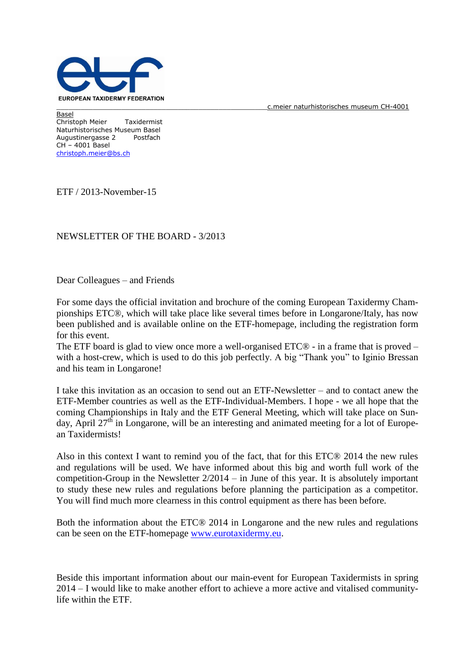

c.meier naturhistorisches museum CH-4001

Basel Christoph Meier Taxidermist Naturhistorisches Museum Basel Augustinergasse 2 Postfach CH – 4001 Basel [christoph.meier@bs.ch](mailto:christoph.meier@bs.ch)

ETF / 2013-November-15

## NEWSLETTER OF THE BOARD - 3/2013

Dear Colleagues – and Friends

For some days the official invitation and brochure of the coming European Taxidermy Championships ETC®, which will take place like several times before in Longarone/Italy, has now been published and is available online on the ETF-homepage, including the registration form for this event.

The ETF board is glad to view once more a well-organised ETC® - in a frame that is proved – with a host-crew, which is used to do this job perfectly. A big "Thank you" to Iginio Bressan and his team in Longarone!

I take this invitation as an occasion to send out an ETF-Newsletter – and to contact anew the ETF-Member countries as well as the ETF-Individual-Members. I hope - we all hope that the coming Championships in Italy and the ETF General Meeting, which will take place on Sunday, April  $27<sup>th</sup>$  in Longarone, will be an interesting and animated meeting for a lot of European Taxidermists!

Also in this context I want to remind you of the fact, that for this ETC® 2014 the new rules and regulations will be used. We have informed about this big and worth full work of the competition-Group in the Newsletter 2/2014 – in June of this year. It is absolutely important to study these new rules and regulations before planning the participation as a competitor. You will find much more clearness in this control equipment as there has been before.

Both the information about the ETC® 2014 in Longarone and the new rules and regulations can be seen on the ETF-homepage [www.eurotaxidermy.eu.](http://www.eurotaxidermy.eu/)

Beside this important information about our main-event for European Taxidermists in spring 2014 – I would like to make another effort to achieve a more active and vitalised communitylife within the ETF.